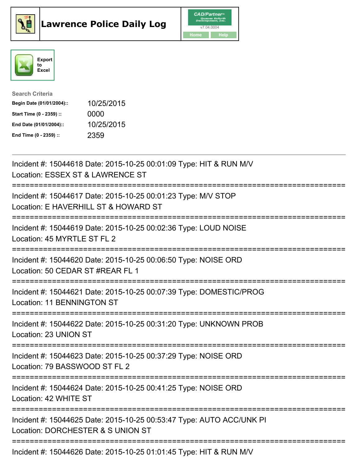





| <b>Search Criteria</b>    |            |
|---------------------------|------------|
| Begin Date (01/01/2004):: | 10/25/2015 |
| Start Time (0 - 2359) ::  | 0000       |
| End Date (01/01/2004)::   | 10/25/2015 |
| End Time (0 - 2359) ::    | 2359       |

| Incident #: 15044618 Date: 2015-10-25 00:01:09 Type: HIT & RUN M/V<br>Location: ESSEX ST & LAWRENCE ST                                                 |
|--------------------------------------------------------------------------------------------------------------------------------------------------------|
| Incident #: 15044617 Date: 2015-10-25 00:01:23 Type: M/V STOP<br>Location: E HAVERHILL ST & HOWARD ST                                                  |
| Incident #: 15044619 Date: 2015-10-25 00:02:36 Type: LOUD NOISE<br>Location: 45 MYRTLE ST FL 2<br>=====================<br>=========================== |
| Incident #: 15044620 Date: 2015-10-25 00:06:50 Type: NOISE ORD<br>Location: 50 CEDAR ST #REAR FL 1<br>----------                                       |
| Incident #: 15044621 Date: 2015-10-25 00:07:39 Type: DOMESTIC/PROG<br>Location: 11 BENNINGTON ST<br>--------------                                     |
| Incident #: 15044622 Date: 2015-10-25 00:31:20 Type: UNKNOWN PROB<br>Location: 23 UNION ST                                                             |
| Incident #: 15044623 Date: 2015-10-25 00:37:29 Type: NOISE ORD<br>Location: 79 BASSWOOD ST FL 2<br>------------------                                  |
| Incident #: 15044624 Date: 2015-10-25 00:41:25 Type: NOISE ORD<br>Location: 42 WHITE ST                                                                |
| Incident #: 15044625 Date: 2015-10-25 00:53:47 Type: AUTO ACC/UNK PI<br>Location: DORCHESTER & S UNION ST                                              |
| Incident #: 15044626 Date: 2015-10-25 01:01:45 Type: HIT & RUN M/V                                                                                     |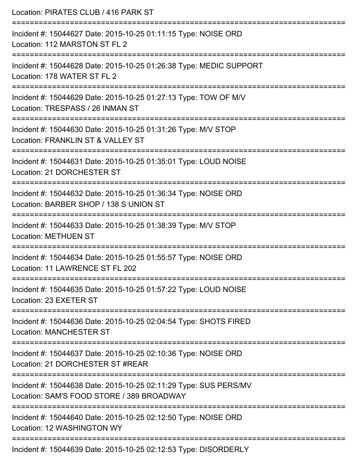| Location: PIRATES CLUB / 416 PARK ST<br>;==============================                                                  |
|--------------------------------------------------------------------------------------------------------------------------|
| Incident #: 15044627 Date: 2015-10-25 01:11:15 Type: NOISE ORD<br>Location: 112 MARSTON ST FL 2<br>--------------------- |
| Incident #: 15044628 Date: 2015-10-25 01:26:38 Type: MEDIC SUPPORT<br>Location: 178 WATER ST FL 2                        |
| Incident #: 15044629 Date: 2015-10-25 01:27:13 Type: TOW OF M/V<br>Location: TRESPASS / 26 INMAN ST                      |
| Incident #: 15044630 Date: 2015-10-25 01:31:26 Type: M/V STOP<br>Location: FRANKLIN ST & VALLEY ST                       |
| Incident #: 15044631 Date: 2015-10-25 01:35:01 Type: LOUD NOISE<br>Location: 21 DORCHESTER ST                            |
| Incident #: 15044632 Date: 2015-10-25 01:36:34 Type: NOISE ORD<br>Location: BARBER SHOP / 138 S UNION ST                 |
| Incident #: 15044633 Date: 2015-10-25 01:38:39 Type: M/V STOP<br><b>Location: METHUEN ST</b>                             |
| Incident #: 15044634 Date: 2015-10-25 01:55:57 Type: NOISE ORD<br>Location: 11 LAWRENCE ST FL 202                        |
| Incident #: 15044635 Date: 2015-10-25 01:57:22 Type: LOUD NOISE<br>Location: 23 EXETER ST                                |
| Incident #: 15044636 Date: 2015-10-25 02:04:54 Type: SHOTS FIRED<br><b>Location: MANCHESTER ST</b>                       |
| Incident #: 15044637 Date: 2015-10-25 02:10:36 Type: NOISE ORD<br>Location: 21 DORCHESTER ST #REAR                       |
| Incident #: 15044638 Date: 2015-10-25 02:11:29 Type: SUS PERS/MV<br>Location: SAM'S FOOD STORE / 389 BROADWAY            |
| Incident #: 15044640 Date: 2015-10-25 02:12:50 Type: NOISE ORD<br>Location: 12 WASHINGTON WY                             |
| Incident #: 15044639 Date: 2015-10-25 02:12:53 Type: DISORDERLY                                                          |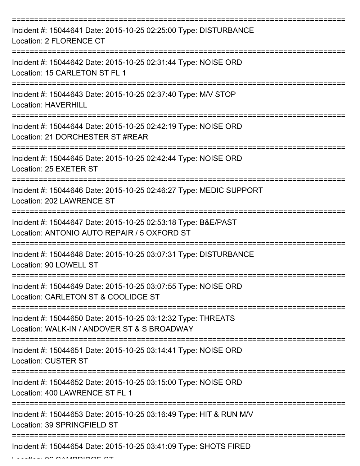| Incident #: 15044641 Date: 2015-10-25 02:25:00 Type: DISTURBANCE<br>Location: 2 FLORENCE CT                                         |
|-------------------------------------------------------------------------------------------------------------------------------------|
| Incident #: 15044642 Date: 2015-10-25 02:31:44 Type: NOISE ORD<br>Location: 15 CARLETON ST FL 1                                     |
| Incident #: 15044643 Date: 2015-10-25 02:37:40 Type: M/V STOP<br><b>Location: HAVERHILL</b>                                         |
| Incident #: 15044644 Date: 2015-10-25 02:42:19 Type: NOISE ORD<br>Location: 21 DORCHESTER ST #REAR                                  |
| Incident #: 15044645 Date: 2015-10-25 02:42:44 Type: NOISE ORD<br>Location: 25 EXETER ST                                            |
| Incident #: 15044646 Date: 2015-10-25 02:46:27 Type: MEDIC SUPPORT<br>Location: 202 LAWRENCE ST                                     |
| Incident #: 15044647 Date: 2015-10-25 02:53:18 Type: B&E/PAST<br>Location: ANTONIO AUTO REPAIR / 5 OXFORD ST                        |
| Incident #: 15044648 Date: 2015-10-25 03:07:31 Type: DISTURBANCE<br>Location: 90 LOWELL ST                                          |
| Incident #: 15044649 Date: 2015-10-25 03:07:55 Type: NOISE ORD<br>Location: CARLETON ST & COOLIDGE ST                               |
| Incident #: 15044650 Date: 2015-10-25 03:12:32 Type: THREATS<br>Location: WALK-IN / ANDOVER ST & S BROADWAY                         |
| Incident #: 15044651 Date: 2015-10-25 03:14:41 Type: NOISE ORD<br><b>Location: CUSTER ST</b><br>:================================== |
| Incident #: 15044652 Date: 2015-10-25 03:15:00 Type: NOISE ORD<br>Location: 400 LAWRENCE ST FL 1                                    |
| Incident #: 15044653 Date: 2015-10-25 03:16:49 Type: HIT & RUN M/V<br>Location: 39 SPRINGFIELD ST                                   |
| Incident #: 15044654 Date: 2015-10-25 03:41:09 Type: SHOTS FIRED                                                                    |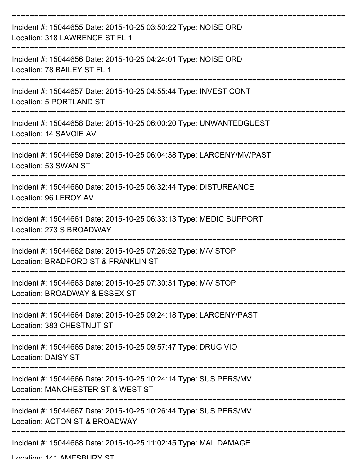| Incident #: 15044655 Date: 2015-10-25 03:50:22 Type: NOISE ORD<br>Location: 318 LAWRENCE ST FL 1        |
|---------------------------------------------------------------------------------------------------------|
| Incident #: 15044656 Date: 2015-10-25 04:24:01 Type: NOISE ORD<br>Location: 78 BAILEY ST FL 1           |
| Incident #: 15044657 Date: 2015-10-25 04:55:44 Type: INVEST CONT<br>Location: 5 PORTLAND ST             |
| Incident #: 15044658 Date: 2015-10-25 06:00:20 Type: UNWANTEDGUEST<br>Location: 14 SAVOIE AV            |
| Incident #: 15044659 Date: 2015-10-25 06:04:38 Type: LARCENY/MV/PAST<br>Location: 53 SWAN ST            |
| Incident #: 15044660 Date: 2015-10-25 06:32:44 Type: DISTURBANCE<br>Location: 96 LEROY AV               |
| Incident #: 15044661 Date: 2015-10-25 06:33:13 Type: MEDIC SUPPORT<br>Location: 273 S BROADWAY          |
| Incident #: 15044662 Date: 2015-10-25 07:26:52 Type: M/V STOP<br>Location: BRADFORD ST & FRANKLIN ST    |
| Incident #: 15044663 Date: 2015-10-25 07:30:31 Type: M/V STOP<br>Location: BROADWAY & ESSEX ST          |
| Incident #: 15044664 Date: 2015-10-25 09:24:18 Type: LARCENY/PAST<br>Location: 383 CHESTNUT ST          |
| Incident #: 15044665 Date: 2015-10-25 09:57:47 Type: DRUG VIO<br><b>Location: DAISY ST</b>              |
| Incident #: 15044666 Date: 2015-10-25 10:24:14 Type: SUS PERS/MV<br>Location: MANCHESTER ST & WEST ST   |
| Incident #: 15044667 Date: 2015-10-25 10:26:44 Type: SUS PERS/MV<br>Location: ACTON ST & BROADWAY       |
| ------------------------------------<br>Incident #: 15044668 Date: 2015-10-25 11:02:45 Type: MAL DAMAGE |

Location: 141 AMESBURY ST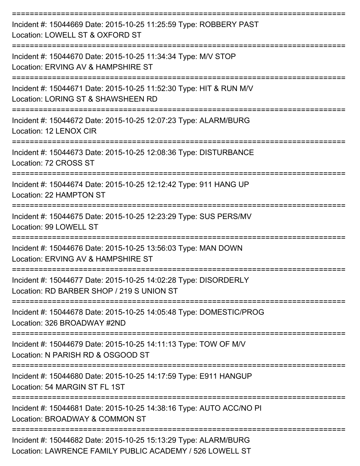| Incident #: 15044669 Date: 2015-10-25 11:25:59 Type: ROBBERY PAST<br>Location: LOWELL ST & OXFORD ST                        |
|-----------------------------------------------------------------------------------------------------------------------------|
| Incident #: 15044670 Date: 2015-10-25 11:34:34 Type: M/V STOP<br>Location: ERVING AV & HAMPSHIRE ST                         |
| Incident #: 15044671 Date: 2015-10-25 11:52:30 Type: HIT & RUN M/V<br>Location: LORING ST & SHAWSHEEN RD                    |
| Incident #: 15044672 Date: 2015-10-25 12:07:23 Type: ALARM/BURG<br>Location: 12 LENOX CIR                                   |
| Incident #: 15044673 Date: 2015-10-25 12:08:36 Type: DISTURBANCE<br>Location: 72 CROSS ST                                   |
| Incident #: 15044674 Date: 2015-10-25 12:12:42 Type: 911 HANG UP<br>Location: 22 HAMPTON ST                                 |
| Incident #: 15044675 Date: 2015-10-25 12:23:29 Type: SUS PERS/MV<br>Location: 99 LOWELL ST                                  |
| Incident #: 15044676 Date: 2015-10-25 13:56:03 Type: MAN DOWN<br>Location: ERVING AV & HAMPSHIRE ST                         |
| Incident #: 15044677 Date: 2015-10-25 14:02:28 Type: DISORDERLY<br>Location: RD BARBER SHOP / 219 S UNION ST                |
| Incident #: 15044678 Date: 2015-10-25 14:05:48 Type: DOMESTIC/PROG<br>Location: 326 BROADWAY #2ND                           |
| Incident #: 15044679 Date: 2015-10-25 14:11:13 Type: TOW OF M/V<br>Location: N PARISH RD & OSGOOD ST                        |
| Incident #: 15044680 Date: 2015-10-25 14:17:59 Type: E911 HANGUP<br>Location: 54 MARGIN ST FL 1ST                           |
| Incident #: 15044681 Date: 2015-10-25 14:38:16 Type: AUTO ACC/NO PI<br>Location: BROADWAY & COMMON ST                       |
| Incident #: 15044682 Date: 2015-10-25 15:13:29 Type: ALARM/BURG<br>Location: LAWRENCE FAMILY PUBLIC ACADEMY / 526 LOWELL ST |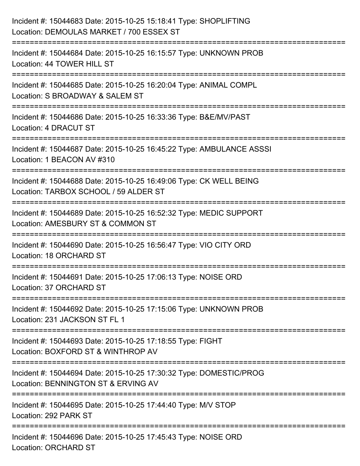| Incident #: 15044683 Date: 2015-10-25 15:18:41 Type: SHOPLIFTING<br>Location: DEMOULAS MARKET / 700 ESSEX ST                              |
|-------------------------------------------------------------------------------------------------------------------------------------------|
| ======================================<br>Incident #: 15044684 Date: 2015-10-25 16:15:57 Type: UNKNOWN PROB<br>Location: 44 TOWER HILL ST |
| Incident #: 15044685 Date: 2015-10-25 16:20:04 Type: ANIMAL COMPL<br>Location: S BROADWAY & SALEM ST<br>:====================             |
| Incident #: 15044686 Date: 2015-10-25 16:33:36 Type: B&E/MV/PAST<br>Location: 4 DRACUT ST                                                 |
| Incident #: 15044687 Date: 2015-10-25 16:45:22 Type: AMBULANCE ASSSI<br>Location: 1 BEACON AV #310                                        |
| Incident #: 15044688 Date: 2015-10-25 16:49:06 Type: CK WELL BEING<br>Location: TARBOX SCHOOL / 59 ALDER ST                               |
| :============================<br>Incident #: 15044689 Date: 2015-10-25 16:52:32 Type: MEDIC SUPPORT<br>Location: AMESBURY ST & COMMON ST  |
| Incident #: 15044690 Date: 2015-10-25 16:56:47 Type: VIO CITY ORD<br>Location: 18 ORCHARD ST                                              |
| Incident #: 15044691 Date: 2015-10-25 17:06:13 Type: NOISE ORD<br>Location: 37 ORCHARD ST                                                 |
| Incident #: 15044692 Date: 2015-10-25 17:15:06 Type: UNKNOWN PROB<br>Location: 231 JACKSON ST FL 1                                        |
| Incident #: 15044693 Date: 2015-10-25 17:18:55 Type: FIGHT<br>Location: BOXFORD ST & WINTHROP AV                                          |
| Incident #: 15044694 Date: 2015-10-25 17:30:32 Type: DOMESTIC/PROG<br>Location: BENNINGTON ST & ERVING AV                                 |
| Incident #: 15044695 Date: 2015-10-25 17:44:40 Type: M/V STOP<br>Location: 292 PARK ST                                                    |
| Incident #: 15044696 Date: 2015-10-25 17:45:43 Type: NOISE ORD<br><b>Location: ORCHARD ST</b>                                             |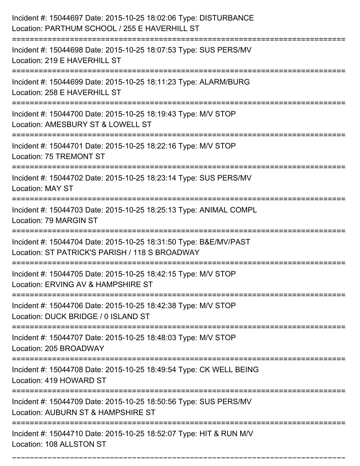| Incident #: 15044697 Date: 2015-10-25 18:02:06 Type: DISTURBANCE<br>Location: PARTHUM SCHOOL / 255 E HAVERHILL ST                       |
|-----------------------------------------------------------------------------------------------------------------------------------------|
| Incident #: 15044698 Date: 2015-10-25 18:07:53 Type: SUS PERS/MV<br>Location: 219 E HAVERHILL ST                                        |
| Incident #: 15044699 Date: 2015-10-25 18:11:23 Type: ALARM/BURG<br>Location: 258 E HAVERHILL ST                                         |
| Incident #: 15044700 Date: 2015-10-25 18:19:43 Type: M/V STOP<br>Location: AMESBURY ST & LOWELL ST                                      |
| Incident #: 15044701 Date: 2015-10-25 18:22:16 Type: M/V STOP<br>Location: 75 TREMONT ST                                                |
| Incident #: 15044702 Date: 2015-10-25 18:23:14 Type: SUS PERS/MV<br><b>Location: MAY ST</b>                                             |
| Incident #: 15044703 Date: 2015-10-25 18:25:13 Type: ANIMAL COMPL<br>Location: 79 MARGIN ST                                             |
| Incident #: 15044704 Date: 2015-10-25 18:31:50 Type: B&E/MV/PAST<br>Location: ST PATRICK'S PARISH / 118 S BROADWAY                      |
| Incident #: 15044705 Date: 2015-10-25 18:42:15 Type: M/V STOP<br>Location: ERVING AV & HAMPSHIRE ST                                     |
| Incident #: 15044706 Date: 2015-10-25 18:42:38 Type: M/V STOP<br>Location: DUCK BRIDGE / 0 ISLAND ST                                    |
| Incident #: 15044707 Date: 2015-10-25 18:48:03 Type: M/V STOP<br>Location: 205 BROADWAY                                                 |
| Incident #: 15044708 Date: 2015-10-25 18:49:54 Type: CK WELL BEING<br>Location: 419 HOWARD ST                                           |
| =============================<br>Incident #: 15044709 Date: 2015-10-25 18:50:56 Type: SUS PERS/MV<br>Location: AUBURN ST & HAMPSHIRE ST |
| Incident #: 15044710 Date: 2015-10-25 18:52:07 Type: HIT & RUN M/V<br>Location: 108 ALLSTON ST                                          |

===========================================================================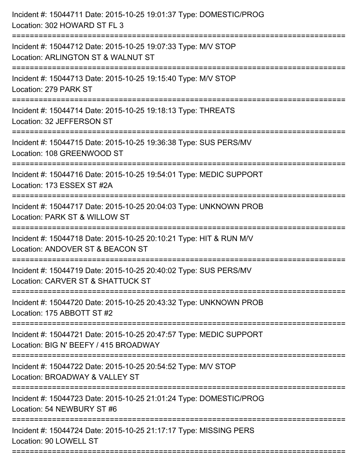| :============================ | Incident #: 15044711 Date: 2015-10-25 19:01:37 Type: DOMESTIC/PROG<br>Location: 302 HOWARD ST FL 3          |
|-------------------------------|-------------------------------------------------------------------------------------------------------------|
|                               | Incident #: 15044712 Date: 2015-10-25 19:07:33 Type: M/V STOP<br>Location: ARLINGTON ST & WALNUT ST         |
|                               | Incident #: 15044713 Date: 2015-10-25 19:15:40 Type: M/V STOP<br>Location: 279 PARK ST                      |
|                               | Incident #: 15044714 Date: 2015-10-25 19:18:13 Type: THREATS<br>Location: 32 JEFFERSON ST                   |
|                               | Incident #: 15044715 Date: 2015-10-25 19:36:38 Type: SUS PERS/MV<br>Location: 108 GREENWOOD ST              |
|                               | Incident #: 15044716 Date: 2015-10-25 19:54:01 Type: MEDIC SUPPORT<br>Location: 173 ESSEX ST #2A            |
|                               | Incident #: 15044717 Date: 2015-10-25 20:04:03 Type: UNKNOWN PROB<br>Location: PARK ST & WILLOW ST          |
|                               | Incident #: 15044718 Date: 2015-10-25 20:10:21 Type: HIT & RUN M/V<br>Location: ANDOVER ST & BEACON ST      |
|                               | Incident #: 15044719 Date: 2015-10-25 20:40:02 Type: SUS PERS/MV<br>Location: CARVER ST & SHATTUCK ST       |
|                               | Incident #: 15044720 Date: 2015-10-25 20:43:32 Type: UNKNOWN PROB<br>Location: 175 ABBOTT ST #2             |
|                               | Incident #: 15044721 Date: 2015-10-25 20:47:57 Type: MEDIC SUPPORT<br>Location: BIG N' BEEFY / 415 BROADWAY |
|                               | Incident #: 15044722 Date: 2015-10-25 20:54:52 Type: M/V STOP<br>Location: BROADWAY & VALLEY ST             |
|                               | Incident #: 15044723 Date: 2015-10-25 21:01:24 Type: DOMESTIC/PROG<br>Location: 54 NEWBURY ST #6            |
|                               | Incident #: 15044724 Date: 2015-10-25 21:17:17 Type: MISSING PERS<br>Location: 90 LOWELL ST                 |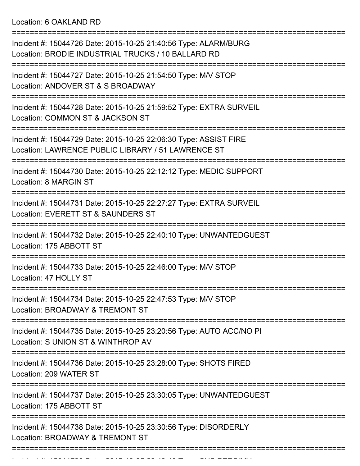Location: 6 OAKLAND RD

| Incident #: 15044726 Date: 2015-10-25 21:40:56 Type: ALARM/BURG<br>Location: BRODIE INDUSTRIAL TRUCKS / 10 BALLARD RD      |
|----------------------------------------------------------------------------------------------------------------------------|
| Incident #: 15044727 Date: 2015-10-25 21:54:50 Type: M/V STOP<br>Location: ANDOVER ST & S BROADWAY                         |
| Incident #: 15044728 Date: 2015-10-25 21:59:52 Type: EXTRA SURVEIL<br>Location: COMMON ST & JACKSON ST                     |
| Incident #: 15044729 Date: 2015-10-25 22:06:30 Type: ASSIST FIRE<br>Location: LAWRENCE PUBLIC LIBRARY / 51 LAWRENCE ST     |
| Incident #: 15044730 Date: 2015-10-25 22:12:12 Type: MEDIC SUPPORT<br><b>Location: 8 MARGIN ST</b>                         |
| Incident #: 15044731 Date: 2015-10-25 22:27:27 Type: EXTRA SURVEIL<br>Location: EVERETT ST & SAUNDERS ST                   |
| Incident #: 15044732 Date: 2015-10-25 22:40:10 Type: UNWANTEDGUEST<br>Location: 175 ABBOTT ST                              |
| Incident #: 15044733 Date: 2015-10-25 22:46:00 Type: M/V STOP<br>Location: 47 HOLLY ST                                     |
| Incident #: 15044734 Date: 2015-10-25 22:47:53 Type: M/V STOP<br>Location: BROADWAY & TREMONT ST                           |
| Incident #: 15044735 Date: 2015-10-25 23:20:56 Type: AUTO ACC/NO PI<br>Location: S UNION ST & WINTHROP AV                  |
| Incident #: 15044736 Date: 2015-10-25 23:28:00 Type: SHOTS FIRED<br>Location: 209 WATER ST                                 |
| =========================<br>Incident #: 15044737 Date: 2015-10-25 23:30:05 Type: UNWANTEDGUEST<br>Location: 175 ABBOTT ST |
| Incident #: 15044738 Date: 2015-10-25 23:30:56 Type: DISORDERLY<br>Location: BROADWAY & TREMONT ST                         |
|                                                                                                                            |

===========================================================================